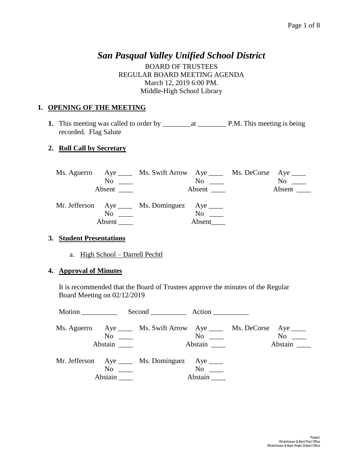# *San Pasqual Valley Unified School District*

BOARD OF TRUSTEES REGULAR BOARD MEETING AGENDA March 12, 2019 6:00 PM. Middle-High School Library

# **I. OPENING OF THE MEETING**

**1.** This meeting was called to order by \_\_\_\_\_\_\_\_at \_\_\_\_\_\_\_\_ P.M. This meeting is being recorded. Flag Salute

# **2. Roll Call by Secretary**

|                                                     | Ms. Aguerro Aye _____ Ms. Swift Arrow Aye _____ Ms. DeCorse Aye ____ |                     |                          |
|-----------------------------------------------------|----------------------------------------------------------------------|---------------------|--------------------------|
| N <sub>0</sub><br><u>and the state of the state</u> |                                                                      | $\rm No$ $\_\_$     | N <sub>0</sub><br>$\sim$ |
|                                                     |                                                                      | Absent              | Absent $\_\_$            |
| Absent $\_\_$                                       | Mr. Jefferson Aye _____ Ms. Dominguez Aye _____                      | $No \t —$<br>Absent |                          |

#### **3. Student Presentations**

a. High School – Darrell Pechtl

#### **4. Approval of Minutes**

It is recommended that the Board of Trustees approve the minutes of the Regular Board Meeting on 02/12/2019

| Motion |                                                      | Second Action                                                        |                      |                    |
|--------|------------------------------------------------------|----------------------------------------------------------------------|----------------------|--------------------|
|        | $No \ \_$                                            | Ms. Aguerro Aye _____ Ms. Swift Arrow Aye _____ Ms. DeCorse Aye ____ | $\rm No$<br>Abstain  | No note<br>Abstain |
|        | $\overline{N_0}$ $\overline{\phantom{0}}$<br>Abstain | Mr. Jefferson Aye _____ Ms. Dominguez Aye ____                       | $No \t —$<br>Abstain |                    |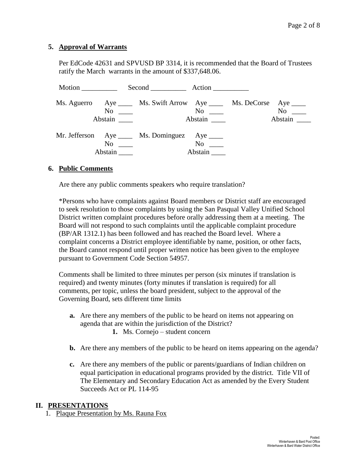#### **5. Approval of Warrants**

Per EdCode 42631 and SPVUSD BP 3314, it is recommended that the Board of Trustees ratify the March warrants in the amount of \$337,648.06.

| Motion |                                                                                                                                                                                                                                           | Second Action                                                                                  |                     |                                                 |                               |
|--------|-------------------------------------------------------------------------------------------------------------------------------------------------------------------------------------------------------------------------------------------|------------------------------------------------------------------------------------------------|---------------------|-------------------------------------------------|-------------------------------|
|        | Abstain                                                                                                                                                                                                                                   | Ms. Aguerro Aye _____ Ms. Swift Arrow Aye _____ Ms. DeCorse Aye ____<br>$\overline{\text{No}}$ | Abstain             | $\overline{\text{No}}$ $\overline{\phantom{0}}$ | $No \ \_$<br>Abstain $\qquad$ |
|        | No and the same state of the state of the state of the state of the state of the state of the state of the state of the state of the state of the state of the state of the state of the state of the state of the state of th<br>Abstain | Mr. Jefferson Aye _____ Ms. Dominguez Aye _____                                                | $\rm No$<br>Abstain |                                                 |                               |

#### **6. Public Comments**

Are there any public comments speakers who require translation?

\*Persons who have complaints against Board members or District staff are encouraged to seek resolution to those complaints by using the San Pasqual Valley Unified School District written complaint procedures before orally addressing them at a meeting. The Board will not respond to such complaints until the applicable complaint procedure (BP/AR 1312.1) has been followed and has reached the Board level. Where a complaint concerns a District employee identifiable by name, position, or other facts, the Board cannot respond until proper written notice has been given to the employee pursuant to Government Code Section 54957.

Comments shall be limited to three minutes per person (six minutes if translation is required) and twenty minutes (forty minutes if translation is required) for all comments, per topic, unless the board president, subject to the approval of the Governing Board, sets different time limits

- **a.** Are there any members of the public to be heard on items not appearing on agenda that are within the jurisdiction of the District? **1.** Ms. Cornejo – student concern
- **b.** Are there any members of the public to be heard on items appearing on the agenda?
- **c.** Are there any members of the public or parents/guardians of Indian children on equal participation in educational programs provided by the district. Title VII of The Elementary and Secondary Education Act as amended by the Every Student Succeeds Act or PL 114-95

#### **II. PRESENTATIONS**

1. Plaque Presentation by Ms. Rauna Fox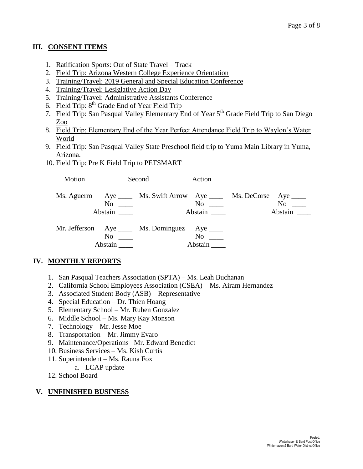# **III. CONSENT ITEMS**

- 1. Ratification Sports: Out of State Travel Track
- 2. Field Trip: Arizona Western College Experience Orientation
- 3. Training/Travel: 2019 General and Special Education Conference
- 4. Training/Travel: Lesiglative Action Day
- 5. Training/Travel: Administrative Assistants Conference
- 6. Field Trip:  $8<sup>th</sup>$  Grade End of Year Field Trip
- 7. Field Trip: San Pasqual Valley Elementary End of Year 5<sup>th</sup> Grade Field Trip to San Diego Zoo
- 8. Field Trip: Elementary End of the Year Perfect Attendance Field Trip to Waylon's Water World
- 9. Field Trip: San Pasqual Valley State Preschool field trip to Yuma Main Library in Yuma, Arizona.
- 10. Field Trip: Pre K Field Trip to PETSMART

Motion Second Action Ms. Aguerro Aye \_\_\_\_ Ms. Swift Arrow Aye \_\_\_\_ Ms. DeCorse Aye \_\_\_\_ No \_\_\_\_ No \_\_\_ No \_\_\_ No \_\_\_ Abstain \_\_\_\_ Abstain \_\_\_ Abstain \_\_\_ Abstain \_\_\_ Mr. Jefferson Aye Ms. Dominguez Aye Mo No \_\_\_\_ No \_\_\_ Abstain \_\_\_\_\_ Abstain \_\_\_\_

# **IV. MONTHLY REPORTS**

- 1. San Pasqual Teachers Association (SPTA) Ms. Leah Buchanan
- 2. California School Employees Association (CSEA) Ms. Airam Hernandez
- 3. Associated Student Body (ASB) Representative
- 4. Special Education Dr. Thien Hoang
- 5. Elementary School Mr. Ruben Gonzalez
- 6. Middle School Ms. Mary Kay Monson
- 7. Technology Mr. Jesse Moe
- 8. Transportation Mr. Jimmy Evaro
- 9. Maintenance/Operations– Mr. Edward Benedict
- 10. Business Services Ms. Kish Curtis
- 11. Superintendent Ms. Rauna Fox
	- a. LCAP update
- 12. School Board

## **V. UNFINISHED BUSINESS**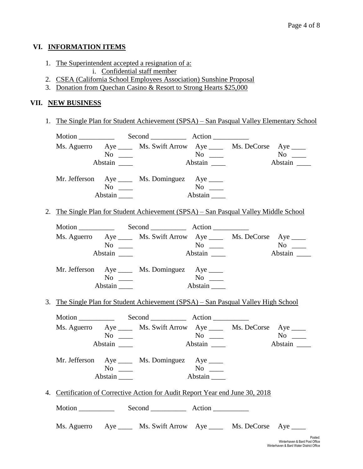### **VI. INFORMATION ITEMS**

- 1. The Superintendent accepted a resignation of a:
	- i. Confidential staff member
- 2. CSEA (California School Employees Association) Sunshine Proposal
- 3. Donation from Quechan Casino & Resort to Strong Hearts \$25,000

# **VII. NEW BUSINESS**

1. The Single Plan for Student Achievement (SPSA) – San Pasqual Valley Elementary School

|  |                                                                                   | Ms. Aguerro Aye ______ Ms. Swift Arrow Aye ______ Ms. DeCorse Aye _____                                                                                                                                                      |                                             |         |               |
|--|-----------------------------------------------------------------------------------|------------------------------------------------------------------------------------------------------------------------------------------------------------------------------------------------------------------------------|---------------------------------------------|---------|---------------|
|  | $\overline{N_0}$ $\overline{\phantom{0}}$                                         |                                                                                                                                                                                                                              |                                             |         |               |
|  | Abstain _______                                                                   |                                                                                                                                                                                                                              | Abstain                                     |         | No<br>Abstain |
|  |                                                                                   | Mr. Jefferson Aye _____ Ms. Dominguez Aye _____                                                                                                                                                                              |                                             |         |               |
|  | $No \ \_$                                                                         |                                                                                                                                                                                                                              |                                             |         |               |
|  | Abstain                                                                           |                                                                                                                                                                                                                              |                                             |         |               |
|  |                                                                                   | 2. The Single Plan for Student Achievement (SPSA) – San Pasqual Valley Middle School                                                                                                                                         |                                             |         |               |
|  |                                                                                   |                                                                                                                                                                                                                              |                                             |         |               |
|  |                                                                                   | Ms. Aguerro Aye ______ Ms. Swift Arrow Aye ______ Ms. DeCorse Aye _____                                                                                                                                                      |                                             |         |               |
|  | $No \ \_$                                                                         |                                                                                                                                                                                                                              | $\overline{N_{0}}$ $\overline{\phantom{0}}$ |         |               |
|  | Abstain                                                                           | Abstain                                                                                                                                                                                                                      |                                             | Abstain |               |
|  |                                                                                   | Mr. Jefferson Aye _____ Ms. Dominguez Aye ____                                                                                                                                                                               |                                             |         |               |
|  | $No \ \_$                                                                         |                                                                                                                                                                                                                              |                                             |         |               |
|  | Abstain                                                                           |                                                                                                                                                                                                                              |                                             |         |               |
|  |                                                                                   | 3. The Single Plan for Student Achievement (SPSA) - San Pasqual Valley High School                                                                                                                                           |                                             |         |               |
|  |                                                                                   |                                                                                                                                                                                                                              |                                             |         |               |
|  |                                                                                   | Ms. Aguerro Aye _____ Ms. Swift Arrow Aye _____ Ms. DeCorse Aye ____                                                                                                                                                         |                                             |         |               |
|  | No $\frac{1}{\sqrt{1-\frac{1}{2}}}\left\{ \frac{1}{\sqrt{1-\frac{1}{2}}}\right\}$ | $No$ and $No$ and $No$ and $No$ and $No$ and $No$ and $No$ and $No$ and $No$ and $No$ and $No$ and $No$ and $No$ and $No$ and $No$ and $No$ and $No$ and $No$ and $No$ and $No$ and $No$ and $No$ and $No$ and $No$ and $No$ |                                             |         |               |
|  | Abstain                                                                           |                                                                                                                                                                                                                              |                                             |         | Abstain       |
|  |                                                                                   | Mr. Jefferson Aye _____ Ms. Dominguez Aye ____                                                                                                                                                                               |                                             |         |               |
|  | $No \ \_$                                                                         | $N$ o                                                                                                                                                                                                                        |                                             |         |               |
|  | Abstain                                                                           |                                                                                                                                                                                                                              | Abstain                                     |         |               |
|  |                                                                                   | 4. Certification of Corrective Action for Audit Report Year end June 30, 2018                                                                                                                                                |                                             |         |               |
|  |                                                                                   |                                                                                                                                                                                                                              |                                             |         |               |
|  |                                                                                   | Ms. Aguerro Aye ______ Ms. Swift Arrow Aye ______ Ms. DeCorse Aye _____                                                                                                                                                      |                                             |         |               |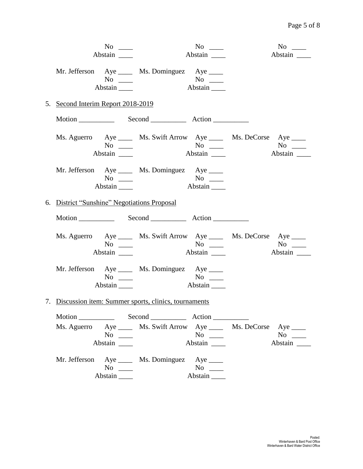| $No \ \_$                                                                                                                                                                                |                | $No \ \_$            | $No \_\_$                                              |
|------------------------------------------------------------------------------------------------------------------------------------------------------------------------------------------|----------------|----------------------|--------------------------------------------------------|
| Abstain                                                                                                                                                                                  |                | Abstain              | Abstain                                                |
| Mr. Jefferson Aye _____ Ms. Dominguez Aye _____<br>No $\frac{1}{\sqrt{1-\frac{1}{2}}\sqrt{1-\frac{1}{2}}\left(\frac{1}{2}-\frac{1}{2}\right)}$<br>Abstain                                |                | Abstain              |                                                        |
| 5. Second Interim Report 2018-2019                                                                                                                                                       |                |                      |                                                        |
| Motion Second Action                                                                                                                                                                     |                |                      |                                                        |
| Ms. Aguerro Aye ______ Ms. Swift Arrow Aye ______ Ms. DeCorse Aye _____<br>$No \ \_$<br>Abstain _______                                                                                  | Abstain        |                      | $\overline{N_{0}}$ $\overline{\phantom{0}}$<br>Abstain |
| Mr. Jefferson Aye _____ Ms. Dominguez Aye _____<br>$No \ \_$<br>Abstain                                                                                                                  | $\overline{A}$ | $No \ \_$<br>Abstain |                                                        |
| 6. District "Sunshine" Negotiations Proposal                                                                                                                                             |                |                      |                                                        |
|                                                                                                                                                                                          |                |                      |                                                        |
| Ms. Aguerro Aye _____ Ms. Swift Arrow Aye _____ Ms. DeCorse Aye ____<br>$No \_\_$<br>Abstain                                                                                             |                | Abstain              | Abstain                                                |
| Mr. Jefferson Aye _____ Ms. Dominguez Aye ____<br>$No \_\_$<br>Abstain $\_\_\_\$                                                                                                         |                | $No \ \_$<br>Abstain |                                                        |
| 7. Discussion item: Summer sports, clinics, tournaments                                                                                                                                  |                |                      |                                                        |
| Ms. Aguerro Aye ______ Ms. Swift Arrow Aye ______ Ms. DeCorse Aye _____<br>No $\frac{1}{\sqrt{1-\frac{1}{2}}\sqrt{1-\frac{1}{2}}\left(\frac{1}{\sqrt{1-\frac{1}{2}}}\right)}$<br>Abstain |                | $No \ \_$<br>Abstain | $No \ \_$<br>Abstain                                   |
| Mr. Jefferson Aye _____ Ms. Dominguez Aye ____<br>No $\frac{1}{\sqrt{1-\frac{1}{2}}\sqrt{1-\frac{1}{2}}\left(\frac{1}{\sqrt{1-\frac{1}{2}}}\right)}$                                     |                | $No \ \_$<br>Abstain |                                                        |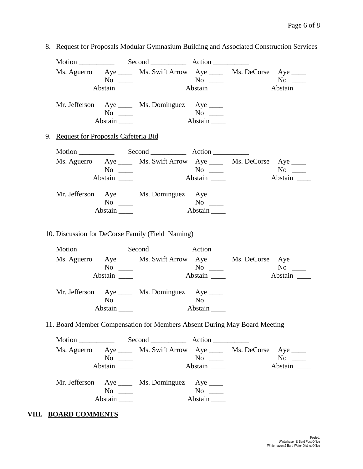|                                        |                                             | Motion Second Action                                                      |                      |           |
|----------------------------------------|---------------------------------------------|---------------------------------------------------------------------------|----------------------|-----------|
|                                        |                                             | Ms. Aguerro Aye ______ Ms. Swift Arrow Aye ______ Ms. DeCorse Aye _____   |                      |           |
|                                        | $\overline{N_{0}}$ $\overline{\phantom{0}}$ |                                                                           |                      |           |
|                                        | Abstain $\_\_$                              |                                                                           | Abstain              |           |
|                                        |                                             | Mr. Jefferson Aye _____ Ms. Dominguez Aye ____                            |                      |           |
|                                        | $No \ \_$                                   |                                                                           |                      |           |
|                                        | $Abstain$ <sub>_____</sub>                  |                                                                           |                      |           |
| 9. Request for Proposals Cafeteria Bid |                                             |                                                                           |                      |           |
|                                        |                                             |                                                                           |                      |           |
|                                        |                                             | Ms. Aguerro Aye _____ Ms. Swift Arrow Aye _____ Ms. DeCorse Aye ____      |                      |           |
|                                        | $\overline{N_0}$                            | $N$ o $\qquad$                                                            |                      | $No \_$   |
|                                        | Abstain                                     |                                                                           | Abstain              | Abstain   |
|                                        |                                             | Mr. Jefferson Aye _____ Ms. Dominguez Aye _____                           |                      |           |
|                                        | $No \_$                                     |                                                                           | $No \ \_$            |           |
|                                        | Abstain                                     |                                                                           | Abstain              |           |
|                                        |                                             |                                                                           |                      |           |
|                                        |                                             | 10. Discussion for DeCorse Family (Field Naming)                          |                      |           |
|                                        |                                             | Ms. Aguerro Aye _____ Ms. Swift Arrow Aye _____ Ms. DeCorse Aye ____      |                      |           |
|                                        | $No \ \_$                                   |                                                                           |                      | $No \ \_$ |
|                                        | Abstain                                     |                                                                           |                      | Abstain   |
|                                        |                                             | Mr. Jefferson Aye _____ Ms. Dominguez Aye _____                           |                      |           |
|                                        | $No \ \_$                                   |                                                                           | $No \ \_$            |           |
|                                        |                                             |                                                                           |                      |           |
|                                        |                                             | 11. Board Member Compensation for Members Absent During May Board Meeting |                      |           |
|                                        |                                             |                                                                           |                      |           |
|                                        |                                             | Ms. Aguerro Aye _____ Ms. Swift Arrow Aye _____ Ms. DeCorse Aye ____      |                      |           |
|                                        | $No \_$                                     |                                                                           | $No \ \_$            | $No \_$   |
|                                        | Abstain                                     |                                                                           | Abstain              | Abstain   |
|                                        |                                             | Mr. Jefferson Aye _____ Ms. Dominguez Aye ____                            |                      |           |
|                                        | $No \_$<br>Abstain                          |                                                                           | $No \ \_$<br>Abstain |           |

# **VIII. BOARD COMMENTS**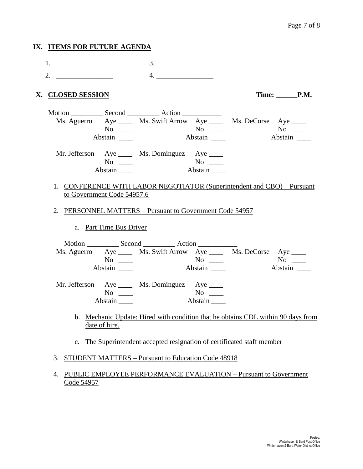| IX. ITEMS FOR FUTURE AGENDA |                                         |                                                                                  |         |              |                      |
|-----------------------------|-----------------------------------------|----------------------------------------------------------------------------------|---------|--------------|----------------------|
| 1. $\qquad \qquad$          |                                         |                                                                                  |         |              |                      |
| 2.                          |                                         | 4.                                                                               |         |              |                      |
| X. CLOSED SESSION           |                                         |                                                                                  |         |              | Time: P.M.           |
|                             | $No \ \_$<br>Abstain _______            | Ms. Aguerro Aye _____ Ms. Swift Arrow Aye _____ Ms. DeCorse Aye ____             | Abstain | $N$ o $\_\_$ | Abstain              |
|                             | $No \ \_$<br>$Abstain$ <sub>_____</sub> | Mr. Jefferson Aye _____ Ms. Dominguez Aye ____                                   |         |              |                      |
| to Government Code 54957.6  |                                         | 1. CONFERENCE WITH LABOR NEGOTIATOR (Superintendent and CBO) - Pursuant          |         |              |                      |
|                             |                                         | 2. PERSONNEL MATTERS - Pursuant to Government Code 54957                         |         |              |                      |
|                             | a. Part Time Bus Driver                 |                                                                                  |         |              |                      |
|                             | $No \ \_$                               | Ms. Aguerro Aye _____ Ms. Swift Arrow Aye _____ Ms. DeCorse Aye ____             |         |              | $No \ \_$<br>Abstain |
|                             | $No \ \_$<br>Abstain $\_\_\_\_\$        | Mr. Jefferson Aye _____ Ms. Dominguez Aye _____                                  | Abstain |              |                      |
|                             | date of hire.                           | b. Mechanic Update: Hired with condition that he obtains CDL within 90 days from |         |              |                      |
| $C_{\bullet}$               |                                         | The Superintendent accepted resignation of certificated staff member             |         |              |                      |
| 3.                          |                                         | <b>STUDENT MATTERS – Pursuant to Education Code 48918</b>                        |         |              |                      |
| 4.<br>Code 54957            |                                         | PUBLIC EMPLOYEE PERFORMANCE EVALUATION - Pursuant to Government                  |         |              |                      |